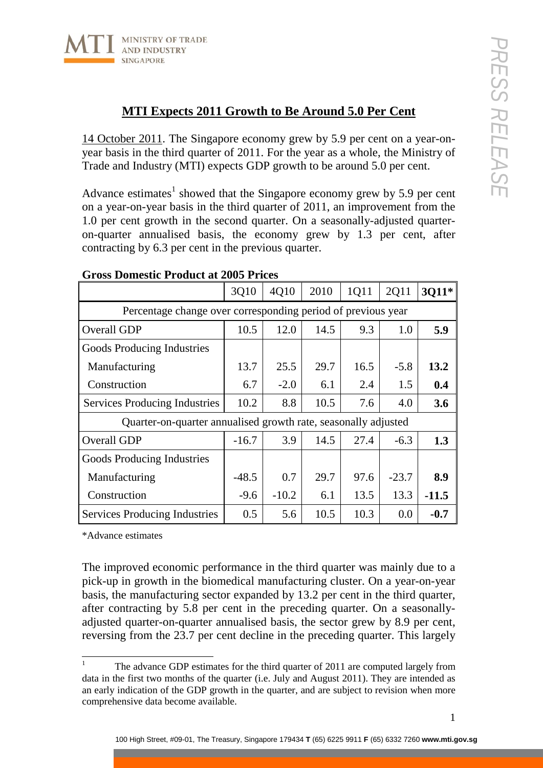

## **MTI Expects 2011 Growth to Be Around 5.0 Per Cent**

14 October 2011. The Singapore economy grew by 5.9 per cent on a year-onyear basis in the third quarter of 2011. For the year as a whole, the Ministry of Trade and Industry (MTI) expects GDP growth to be around 5.0 per cent.

Advance estimates<sup>1</sup> showed that the Singapore economy grew by 5.9 per cent on a year-on-year basis in the third quarter of 2011, an improvement from the 1.0 per cent growth in the second quarter. On a seasonally-adjusted quarteron-quarter annualised basis, the economy grew by 1.3 per cent, after contracting by 6.3 per cent in the previous quarter.

|                                                                | 3Q10    | 4Q10    | 2010 | 1Q11 | 2Q11    | 3Q11*   |
|----------------------------------------------------------------|---------|---------|------|------|---------|---------|
| Percentage change over corresponding period of previous year   |         |         |      |      |         |         |
| Overall GDP                                                    | 10.5    | 12.0    | 14.5 | 9.3  | 1.0     | 5.9     |
| Goods Producing Industries                                     |         |         |      |      |         |         |
| Manufacturing                                                  | 13.7    | 25.5    | 29.7 | 16.5 | $-5.8$  | 13.2    |
| Construction                                                   | 6.7     | $-2.0$  | 6.1  | 2.4  | 1.5     | 0.4     |
| <b>Services Producing Industries</b>                           | 10.2    | 8.8     | 10.5 | 7.6  | 4.0     | 3.6     |
| Quarter-on-quarter annualised growth rate, seasonally adjusted |         |         |      |      |         |         |
| Overall GDP                                                    | $-16.7$ | 3.9     | 14.5 | 27.4 | $-6.3$  | 1.3     |
| Goods Producing Industries                                     |         |         |      |      |         |         |
| Manufacturing                                                  | $-48.5$ | 0.7     | 29.7 | 97.6 | $-23.7$ | 8.9     |
| Construction                                                   | $-9.6$  | $-10.2$ | 6.1  | 13.5 | 13.3    | $-11.5$ |
| Services Producing Industries                                  | 0.5     | 5.6     | 10.5 | 10.3 | 0.0     | $-0.7$  |

## **Gross Domestic Product at 2005 Prices**

\*Advance estimates

The improved economic performance in the third quarter was mainly due to a pick-up in growth in the biomedical manufacturing cluster. On a year-on-year basis, the manufacturing sector expanded by 13.2 per cent in the third quarter, after contracting by 5.8 per cent in the preceding quarter. On a seasonallyadjusted quarter-on-quarter annualised basis, the sector grew by 8.9 per cent, reversing from the 23.7 per cent decline in the preceding quarter. This largely

<sup>&</sup>lt;sup>1</sup> The advance GDP estimates for the third quarter of 2011 are computed largely from data in the first two months of the quarter (i.e. July and August 2011). They are intended as an early indication of the GDP growth in the quarter, and are subject to revision when more comprehensive data become available.